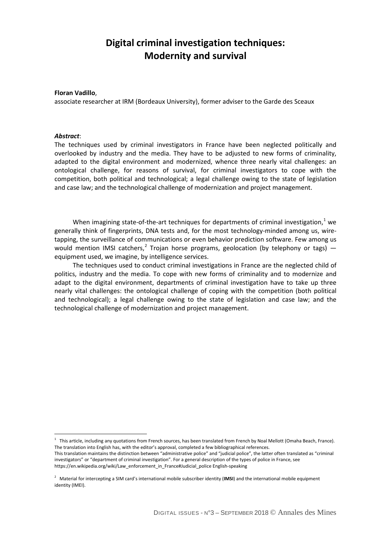# **Digital criminal investigation techniques: Modernity and survival**

#### **Floran Vadillo**,

associate researcher at IRM (Bordeaux University), former adviser to the Garde des Sceaux

#### *Abstract*:

 $\overline{a}$ 

The techniques used by criminal investigators in France have been neglected politically and overlooked by industry and the media. They have to be adjusted to new forms of criminality, adapted to the digital environment and modernized, whence three nearly vital challenges: an ontological challenge, for reasons of survival, for criminal investigators to cope with the competition, both political and technological; a legal challenge owing to the state of legislation and case law; and the technological challenge of modernization and project management.

When imagining state-of-the-art techniques for departments of criminal investigation, $<sup>1</sup>$  $<sup>1</sup>$  $<sup>1</sup>$  we</sup> generally think of fingerprints, DNA tests and, for the most technology-minded among us, wiretapping, the surveillance of communications or even behavior prediction software. Few among us would mention IMSI catchers,<sup>[2](#page-0-1)</sup> Trojan horse programs, geolocation (by telephony or tags)  $$ equipment used, we imagine, by intelligence services.

The techniques used to conduct criminal investigations in France are the neglected child of politics, industry and the media. To cope with new forms of criminality and to modernize and adapt to the digital environment, departments of criminal investigation have to take up three nearly vital challenges: the ontological challenge of coping with the competition (both political and technological); a legal challenge owing to the state of legislation and case law; and the technological challenge of modernization and project management.

<span id="page-0-0"></span><sup>&</sup>lt;sup>1</sup> This article, including any quotations from French sources, has been translated from French by Noal Mellott (Omaha Beach, France). The translation into English has, with the editor's approval, completed a few bibliographical references.

This translation maintains the distinction between "administrative police" and "judicial police", the latter often translated as "criminal investigators" or "department of criminal investigation". For a general description of the types of police in France, see https://en.wikipedia.org/wiki/Law\_enforcement\_in\_France#Judicial\_police English-speaking

<span id="page-0-1"></span><sup>2</sup> Material for intercepting a SIM card's international mobile subscriber identity (**IMSI**) and the international mobile equipment identity (IMEI).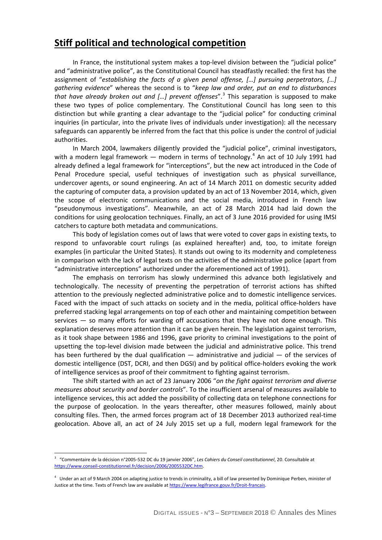## **Stiff political and technological competition**

In France, the institutional system makes a top-level division between the "judicial police" and "administrative police", as the Constitutional Council has steadfastly recalled: the first has the assignment of "*establishing the facts of a given penal offense, […] pursuing perpetrators, […] gathering evidence*" whereas the second is to "*keep law and order, put an end to disturbances that have already broken out and [...] prevent offenses"*.<sup>[3](#page-1-0)</sup> This separation is supposed to make these two types of police complementary. The Constitutional Council has long seen to this distinction but while granting a clear advantage to the "judicial police" for conducting criminal inquiries (in particular, into the private lives of individuals under investigation): all the necessary safeguards can apparently be inferred from the fact that this police is under the control of judicial authorities.

In March 2004, lawmakers diligently provided the "judicial police", criminal investigators, with a modern legal framework  $-$  modern in terms of technology.<sup>[4](#page-1-1)</sup> An act of 10 July 1991 had already defined a legal framework for "interceptions", but the new act introduced in the Code of Penal Procedure special, useful techniques of investigation such as physical surveillance, undercover agents, or sound engineering. An act of 14 March 2011 on domestic security added the capturing of computer data, a provision updated by an act of 13 November 2014, which, given the scope of electronic communications and the social media, introduced in French law "pseudonymous investigations". Meanwhile, an act of 28 March 2014 had laid down the conditions for using geolocation techniques. Finally, an act of 3 June 2016 provided for using IMSI catchers to capture both metadata and communications.

This body of legislation comes out of laws that were voted to cover gaps in existing texts, to respond to unfavorable court rulings (as explained hereafter) and, too, to imitate foreign examples (in particular the United States). It stands out owing to its modernity and completeness in comparison with the lack of legal texts on the activities of the administrative police (apart from "administrative interceptions" authorized under the aforementioned act of 1991).

The emphasis on terrorism has slowly undermined this advance both legislatively and technologically. The necessity of preventing the perpetration of terrorist actions has shifted attention to the previously neglected administrative police and to domestic intelligence services. Faced with the impact of such attacks on society and in the media, political office-holders have preferred stacking legal arrangements on top of each other and maintaining competition between services  $-$  so many efforts for warding off accusations that they have not done enough. This explanation deserves more attention than it can be given herein. The legislation against terrorism, as it took shape between 1986 and 1996, gave priority to criminal investigations to the point of upsetting the top-level division made between the judicial and administrative police. This trend has been furthered by the dual qualification — administrative and judicial — of the services of domestic intelligence (DST, DCRI, and then DGSI) and by political office-holders evoking the work of intelligence services as proof of their commitment to fighting against terrorism.

The shift started with an act of 23 January 2006 "*on the fight against terrorism and diverse measures about security and border controls*". To the insufficient arsenal of measures available to intelligence services, this act added the possibility of collecting data on telephone connections for the purpose of geolocation. In the years thereafter, other measures followed, mainly about consulting files. Then, the armed forces program act of 18 December 2013 authorized real-time geolocation. Above all, an act of 24 July 2015 set up a full, modern legal framework for the

<span id="page-1-0"></span><sup>3</sup> "Commentaire de la décision n°2005-532 DC du 19 janvier 2006", *Les Cahiers du Conseil constitutionnel*, 20. Consultable at [https://www.conseil-constitutionnel.fr/decision/2006/2005532DC.htm.](https://www.conseil-constitutionnel.fr/decision/2006/2005532DC.htm)

<span id="page-1-1"></span><sup>4</sup> Under an act of 9 March 2004 on adapting justice to trends in criminality, a bill of law presented by Dominique Perben, minister of Justice at the time. Texts of French law are available a[t https://www.legifrance.gouv.fr/Droit-francais.](https://www.legifrance.gouv.fr/Droit-francais)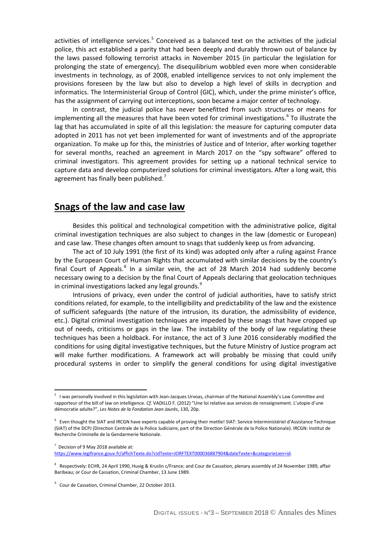activities of intelligence services.<sup>[5](#page-2-0)</sup> Conceived as a balanced text on the activities of the judicial police, this act established a parity that had been deeply and durably thrown out of balance by the laws passed following terrorist attacks in November 2015 (in particular the legislation for prolonging the state of emergency). The disequilibrium wobbled even more when considerable investments in technology, as of 2008, enabled intelligence services to not only implement the provisions foreseen by the law but also to develop a high level of skills in decryption and informatics. The Interministerial Group of Control (GIC), which, under the prime minister's office, has the assignment of carrying out interceptions, soon became a major center of technology.

In contrast, the judicial police has never benefitted from such structures or means for implementing all the measures that have been voted for criminal investigations.<sup>[6](#page-2-1)</sup> To illustrate the lag that has accumulated in spite of all this legislation: the measure for capturing computer data adopted in 2011 has not yet been implemented for want of investments and of the appropriate organization. To make up for this, the ministries of Justice and of Interior, after working together for several months, reached an agreement in March 2017 on the "spy software" offered to criminal investigators. This agreement provides for setting up a national technical service to capture data and develop computerized solutions for criminal investigators. After a long wait, this agreement has finally been published.<sup>[7](#page-2-2)</sup>

### **Snags of the law and case law**

Besides this political and technological competition with the administrative police, digital criminal investigation techniques are also subject to changes in the law (domestic or European) and case law. These changes often amount to snags that suddenly keep us from advancing.

The act of 10 July 1991 (the first of its kind) was adopted only after a ruling against France by the European Court of Human Rights that accumulated with similar decisions by the country's final Court of Appeals. $8$  In a similar vein, the act of 28 March 2014 had suddenly become necessary owing to a decision by the final Court of Appeals declaring that geolocation techniques in criminal investigations lacked any legal grounds. $^9$  $^9$ 

Intrusions of privacy, even under the control of judicial authorities, have to satisfy strict conditions related, for example, to the intelligibility and predictability of the law and the existence of sufficient safeguards (the nature of the intrusion, its duration, the admissibility of evidence, etc.). Digital criminal investigation techniques are impeded by these snags that have cropped up out of needs, criticisms or gaps in the law. The instability of the body of law regulating these techniques has been a holdback. For instance, the act of 3 June 2016 considerably modified the conditions for using digital investigative techniques, but the future Ministry of Justice program act will make further modifications. A framework act will probably be missing that could unify procedural systems in order to simplify the general conditions for using digital investigative

<span id="page-2-2"></span> $7$  Decision of 9 May 2018 available at:

<span id="page-2-0"></span><sup>5</sup> I was personally involved in this legislation with Jean-Jacques Urvoas, chairman of the National Assembly's Law Committee and rapporteur of the bill of law on intelligence. *Cf.* VADILLO F. (2012) "Une loi relative aux services de renseignement. L'utopie d'une démocratie adulte?", *Les Notes de la Fondation Jean Jaurès*, 130, 20p.

<span id="page-2-1"></span><sup>6</sup> Even thought the SIAT and IRCGN have experts capable of proving their mettle! SIAT: Service Interministériel d'Assistance Technique (SIAT) of the DCPJ (Direction Centrale de la Police Judiciaire, part of the Direction Générale de la Police Nationale). IRCGN: Institut de Recherche Criminelle de la Gendarmerie Nationale.

[https://www.legifrance.gouv.fr/affichTexte.do?cidTexte=JORFTEXT000036887904&dateTexte=&categorieLien=id.](https://www.legifrance.gouv.fr/affichTexte.do?cidTexte=JORFTEXT000036887904&dateTexte=&categorieLien=id)

<span id="page-2-3"></span><sup>&</sup>lt;sup>8</sup> Respectively: ECHR, 24 April 1990, Huvig & Kruslin c/France; and Cour de Cassation, plenary assembly of 24 November 1989, affair Baribeau; or Cour de Cassation, Criminal Chamber, 13 June 1989.

<span id="page-2-4"></span><sup>&</sup>lt;sup>9</sup> Cour de Cassation, Criminal Chamber, 22 October 2013.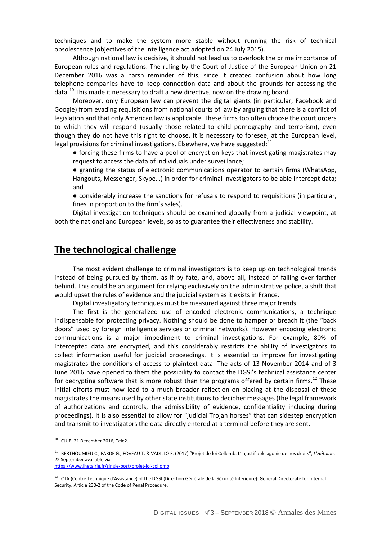techniques and to make the system more stable without running the risk of technical obsolescence (objectives of the intelligence act adopted on 24 July 2015).

Although national law is decisive, it should not lead us to overlook the prime importance of European rules and regulations. The ruling by the Court of Justice of the European Union on 21 December 2016 was a harsh reminder of this, since it created confusion about how long telephone companies have to keep connection data and about the grounds for accessing the data.<sup>[10](#page-3-0)</sup> This made it necessary to draft a new directive, now on the drawing board.

Moreover, only European law can prevent the digital giants (in particular, Facebook and Google) from evading requisitions from national courts of law by arguing that there is a conflict of legislation and that only American law is applicable. These firms too often choose the court orders to which they will respond (usually those related to child pornography and terrorism), even though they do not have this right to choose. It is necessary to foresee, at the European level, legal provisions for criminal investigations. Elsewhere, we have suggested: $<sup>11</sup>$  $<sup>11</sup>$  $<sup>11</sup>$ </sup>

● forcing these firms to have a pool of encryption keys that investigating magistrates may request to access the data of individuals under surveillance;

● granting the status of electronic communications operator to certain firms (WhatsApp, Hangouts, Messenger, Skype…) in order for criminal investigators to be able intercept data; and

● considerably increase the sanctions for refusals to respond to requisitions (in particular, fines in proportion to the firm's sales).

Digital investigation techniques should be examined globally from a judicial viewpoint, at both the national and European levels, so as to guarantee their effectiveness and stability.

### **The technological challenge**

The most evident challenge to criminal investigators is to keep up on technological trends instead of being pursued by them, as if by fate, and, above all, instead of falling ever farther behind. This could be an argument for relying exclusively on the administrative police, a shift that would upset the rules of evidence and the judicial system as it exists in France.

Digital investigatory techniques must be measured against three major trends.

The first is the generalized use of encoded electronic communications, a technique indispensable for protecting privacy. Nothing should be done to hamper or breach it (the "back doors" used by foreign intelligence services or criminal networks). However encoding electronic communications is a major impediment to criminal investigations. For example, 80% of intercepted data are encrypted, and this considerably restricts the ability of investigators to collect information useful for judicial proceedings. It is essential to improve for investigating magistrates the conditions of access to plaintext data. The acts of 13 November 2014 and of 3 June 2016 have opened to them the possibility to contact the DGSI's technical assistance center for decrypting software that is more robust than the programs offered by certain firms.<sup>[12](#page-3-2)</sup> These initial efforts must now lead to a much broader reflection on placing at the disposal of these magistrates the means used by other state institutions to decipher messages (the legal framework of authorizations and controls, the admissibility of evidence, confidentiality including during proceedings). It is also essential to allow for "judicial Trojan horses" that can sidestep encryption and transmit to investigators the data directly entered at a terminal before they are sent.

<span id="page-3-0"></span><sup>10</sup> CJUE, 21 December 2016, Tele2.

<span id="page-3-1"></span><sup>11</sup> BERTHOUMIEU C., FARDE G., FOVEAU T. & VADILLO F. (2017) "Projet de loi Collomb. L'injustifiable agonie de nos droits", *L'Hétairie*, 22 September available via [https://www.lhetairie.fr/single-post/projet-loi-collomb.](https://www.lhetairie.fr/single-post/projet-loi-collomb) 

<span id="page-3-2"></span><sup>&</sup>lt;sup>12</sup> CTA (Centre Technique d'Assistance) of the DGSI (Direction Générale de la Sécurité Intérieure): General Directorate for Internal Security. Article 230-2 of the Code of Penal Procedure.